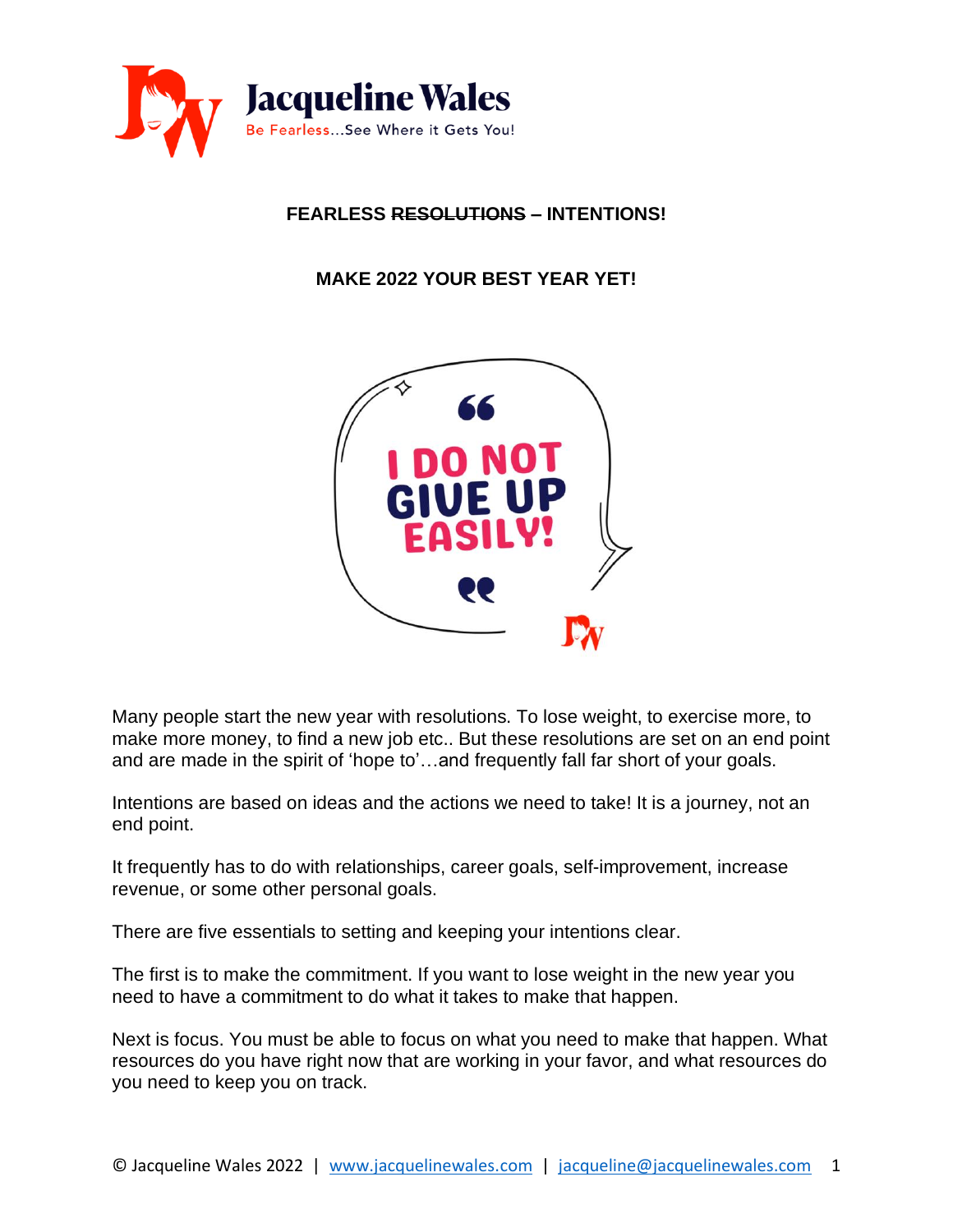

### **FEARLESS RESOLUTIONS – INTENTIONS!**

**MAKE 2022 YOUR BEST YEAR YET!**



Many people start the new year with resolutions. To lose weight, to exercise more, to make more money, to find a new job etc.. But these resolutions are set on an end point and are made in the spirit of 'hope to'…and frequently fall far short of your goals.

Intentions are based on ideas and the actions we need to take! It is a journey, not an end point.

It frequently has to do with relationships, career goals, self-improvement, increase revenue, or some other personal goals.

There are five essentials to setting and keeping your intentions clear.

The first is to make the commitment. If you want to lose weight in the new year you need to have a commitment to do what it takes to make that happen.

Next is focus. You must be able to focus on what you need to make that happen. What resources do you have right now that are working in your favor, and what resources do you need to keep you on track.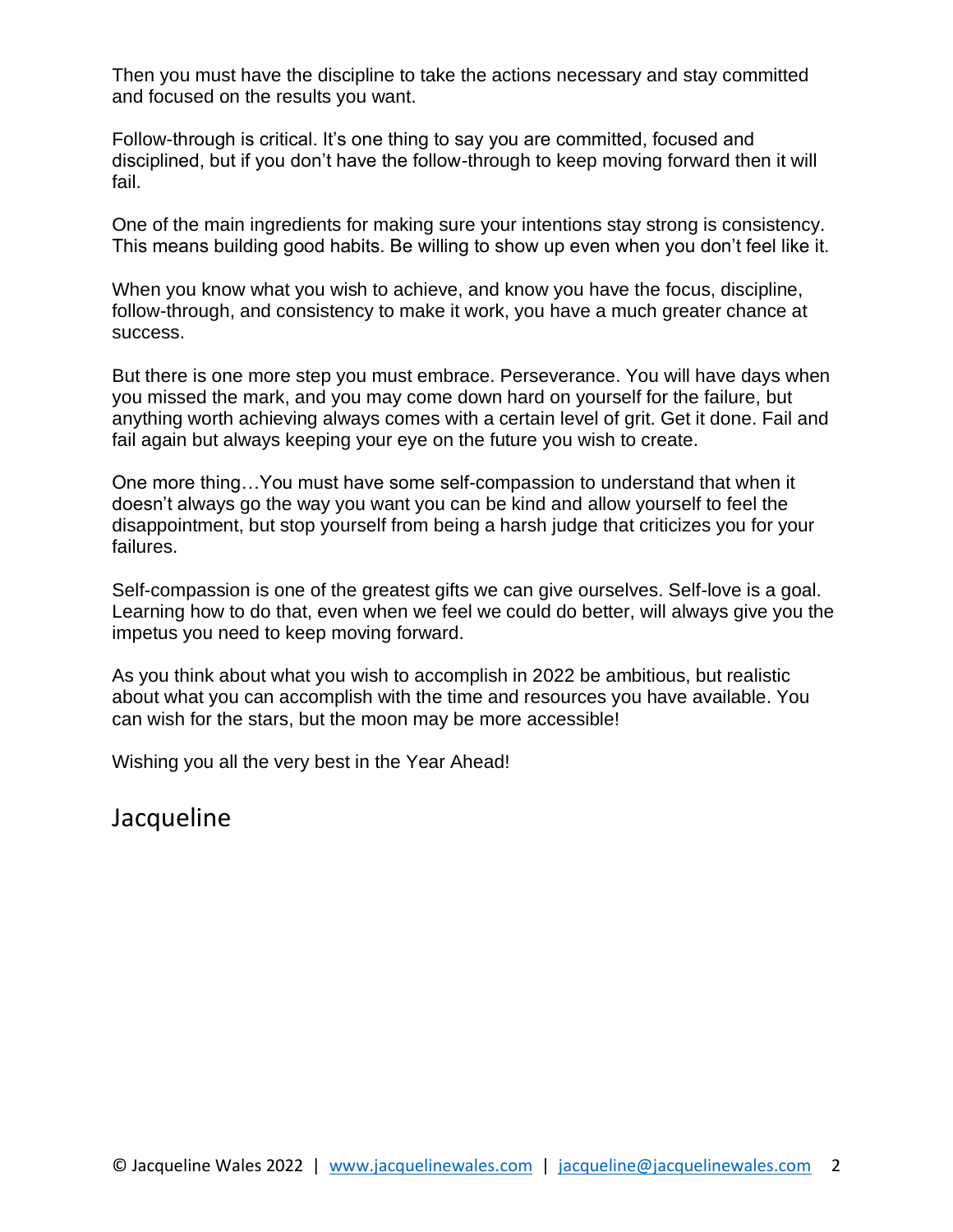Then you must have the discipline to take the actions necessary and stay committed and focused on the results you want.

Follow-through is critical. It's one thing to say you are committed, focused and disciplined, but if you don't have the follow-through to keep moving forward then it will fail.

One of the main ingredients for making sure your intentions stay strong is consistency. This means building good habits. Be willing to show up even when you don't feel like it.

When you know what you wish to achieve, and know you have the focus, discipline, follow-through, and consistency to make it work, you have a much greater chance at success.

But there is one more step you must embrace. Perseverance. You will have days when you missed the mark, and you may come down hard on yourself for the failure, but anything worth achieving always comes with a certain level of grit. Get it done. Fail and fail again but always keeping your eye on the future you wish to create.

One more thing…You must have some self-compassion to understand that when it doesn't always go the way you want you can be kind and allow yourself to feel the disappointment, but stop yourself from being a harsh judge that criticizes you for your failures.

Self-compassion is one of the greatest gifts we can give ourselves. Self-love is a goal. Learning how to do that, even when we feel we could do better, will always give you the impetus you need to keep moving forward.

As you think about what you wish to accomplish in 2022 be ambitious, but realistic about what you can accomplish with the time and resources you have available. You can wish for the stars, but the moon may be more accessible!

Wishing you all the very best in the Year Ahead!

Jacqueline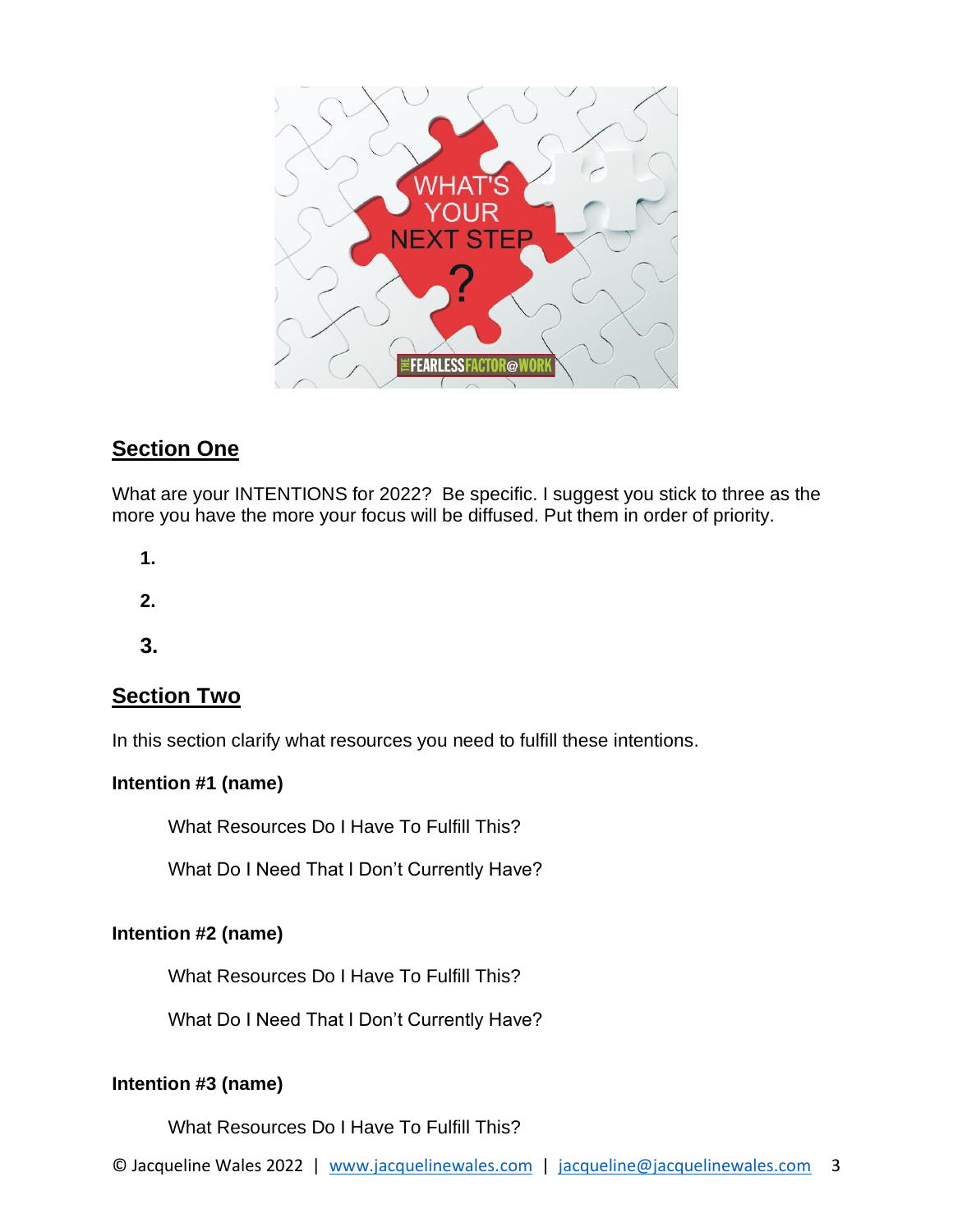

# **Section One**

What are your INTENTIONS for 2022? Be specific. I suggest you stick to three as the more you have the more your focus will be diffused. Put them in order of priority.

**1.**

**2.**

**3.**

# **Section Two**

In this section clarify what resources you need to fulfill these intentions.

## **Intention #1 (name)**

What Resources Do I Have To Fulfill This?

What Do I Need That I Don't Currently Have?

### **Intention #2 (name)**

What Resources Do I Have To Fulfill This?

What Do I Need That I Don't Currently Have?

## **Intention #3 (name)**

What Resources Do I Have To Fulfill This?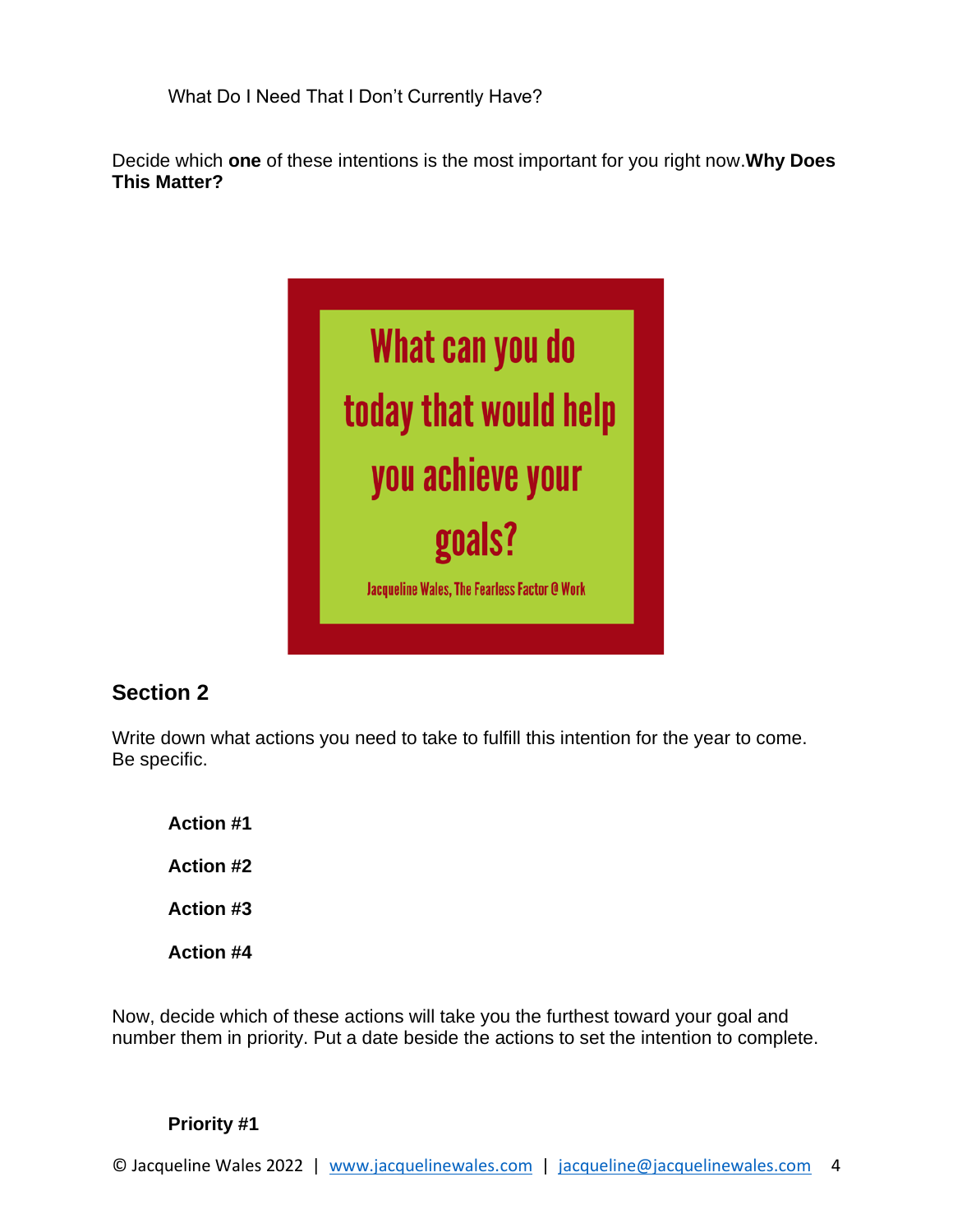What Do I Need That I Don't Currently Have?

Decide which **one** of these intentions is the most important for you right now.**Why Does This Matter?**



# **Section 2**

Write down what actions you need to take to fulfill this intention for the year to come. Be specific.

**Action #1 Action #2 Action #3 Action #4**

Now, decide which of these actions will take you the furthest toward your goal and number them in priority. Put a date beside the actions to set the intention to complete.

#### **Priority #1**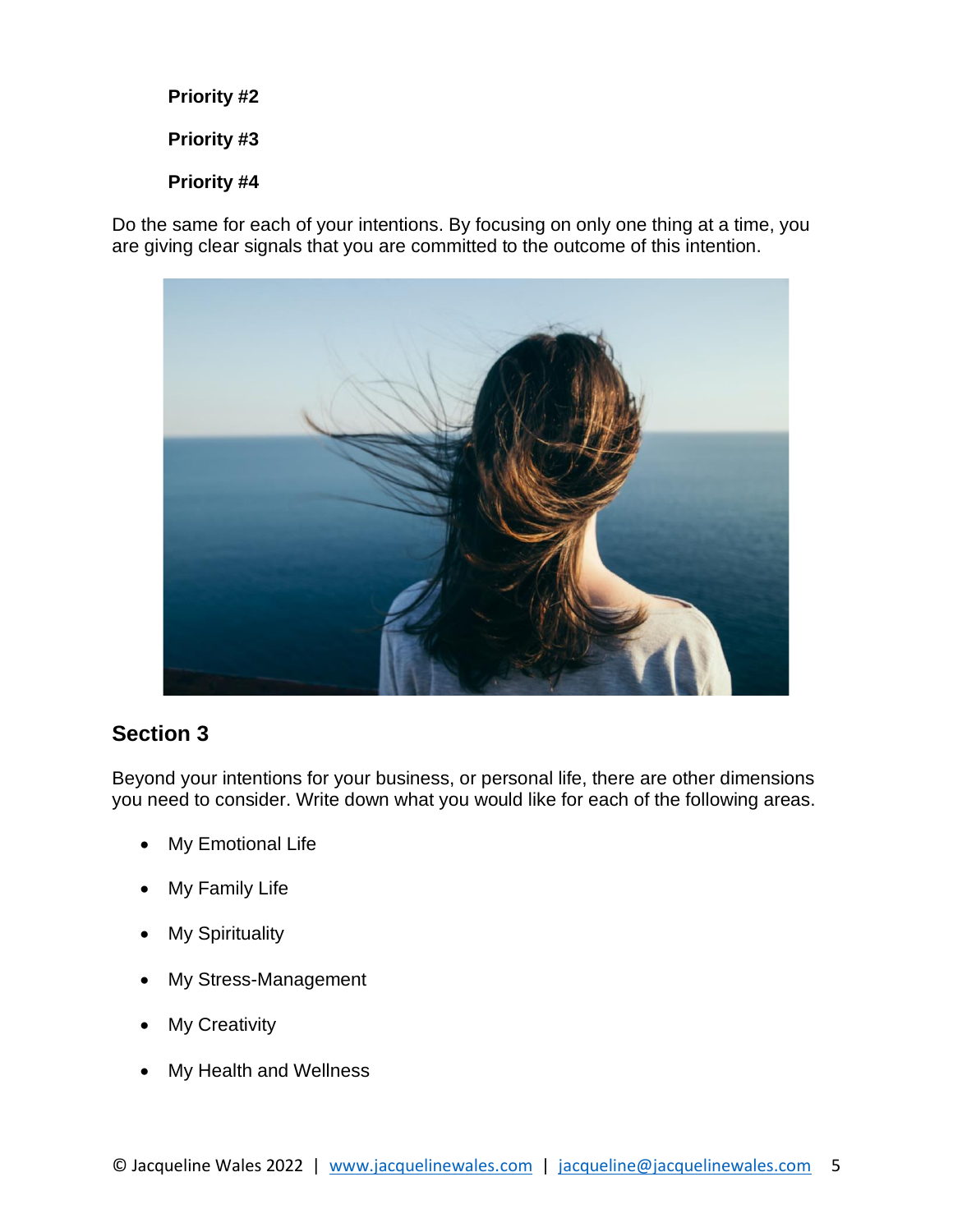#### **Priority #2**

**Priority #3**

### **Priority #4**

Do the same for each of your intentions. By focusing on only one thing at a time, you are giving clear signals that you are committed to the outcome of this intention.



## **Section 3**

Beyond your intentions for your business, or personal life, there are other dimensions you need to consider. Write down what you would like for each of the following areas.

- **My Emotional Life**
- My Family Life
- My Spirituality
- My Stress-Management
- **My Creativity**
- My Health and Wellness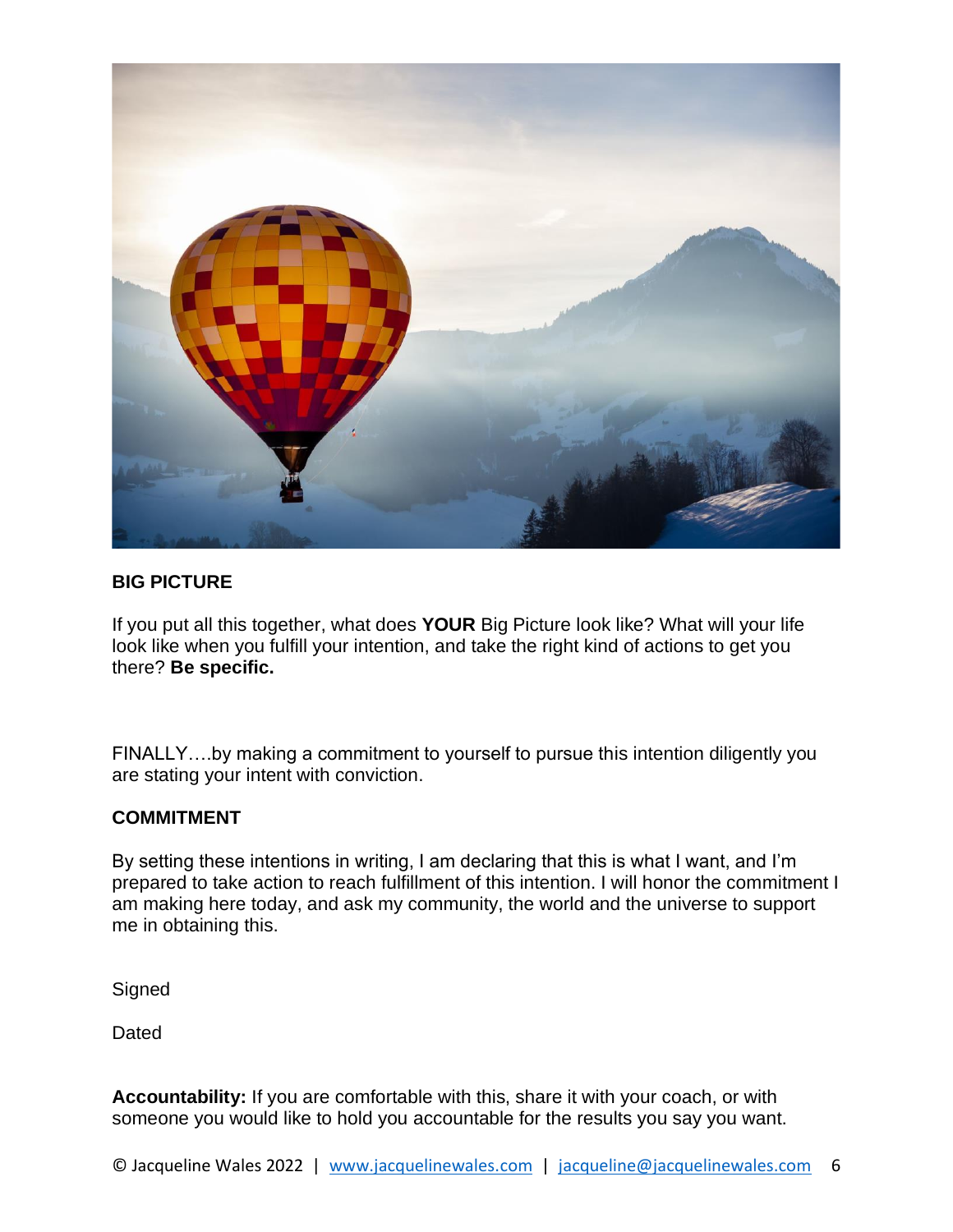

#### **BIG PICTURE**

If you put all this together, what does **YOUR** Big Picture look like? What will your life look like when you fulfill your intention, and take the right kind of actions to get you there? **Be specific.**

FINALLY….by making a commitment to yourself to pursue this intention diligently you are stating your intent with conviction.

#### **COMMITMENT**

By setting these intentions in writing, I am declaring that this is what I want, and I'm prepared to take action to reach fulfillment of this intention. I will honor the commitment I am making here today, and ask my community, the world and the universe to support me in obtaining this.

**Signed** 

Dated

**Accountability:** If you are comfortable with this, share it with your coach, or with someone you would like to hold you accountable for the results you say you want.